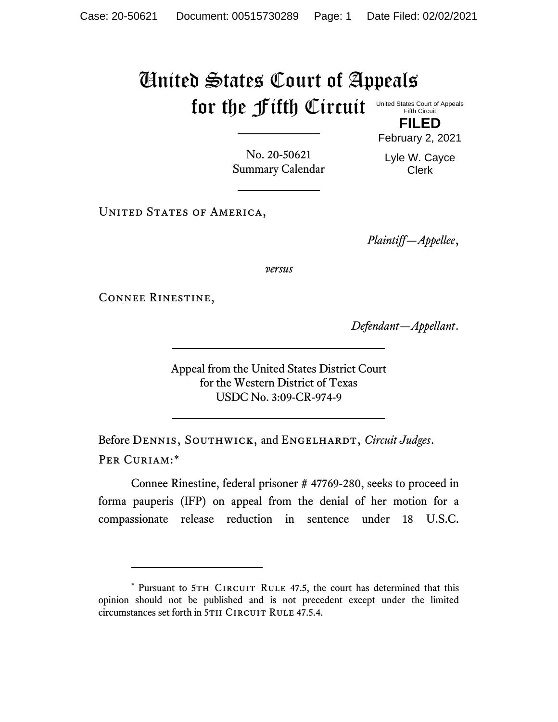## United States Court of Appeals for the fifth Circuit United States Court of Appeals

Fifth Circuit

**FILED** February 2, 2021

No. 20-50621 Summary Calendar Lyle W. Cayce Clerk

UNITED STATES OF AMERICA,

*Plaintiff—Appellee*,

*versus*

Connee Rinestine,

*Defendant—Appellant*.

Appeal from the United States District Court for the Western District of Texas USDC No. 3:09-CR-974-9

Before DENNIS, SOUTHWICK, and ENGELHARDT, *Circuit Judges*. Per Curiam:\*

Connee Rinestine, federal prisoner # 47769-280, seeks to proceed in forma pauperis (IFP) on appeal from the denial of her motion for a compassionate release reduction in sentence under 18 U.S.C.

<sup>\*</sup> Pursuant to 5TH CIRCUIT RULE 47.5, the court has determined that this opinion should not be published and is not precedent except under the limited circumstances set forth in 5TH CIRCUIT RULE 47.5.4.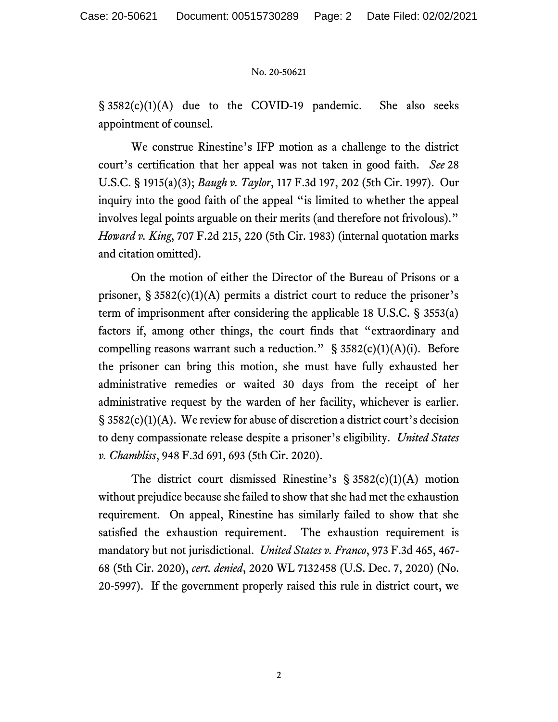## No. 20-50621

§ 3582(c)(1)(A) due to the COVID-19 pandemic. She also seeks appointment of counsel.

We construe Rinestine's IFP motion as a challenge to the district court's certification that her appeal was not taken in good faith. *See* 28 U.S.C. § 1915(a)(3); *Baugh v. Taylor*, 117 F.3d 197, 202 (5th Cir. 1997). Our inquiry into the good faith of the appeal "is limited to whether the appeal involves legal points arguable on their merits (and therefore not frivolous)." *Howard v. King*, 707 F.2d 215, 220 (5th Cir. 1983) (internal quotation marks and citation omitted).

On the motion of either the Director of the Bureau of Prisons or a prisoner,  $\S 3582(c)(1)(A)$  permits a district court to reduce the prisoner's term of imprisonment after considering the applicable 18 U.S.C. § 3553(a) factors if, among other things, the court finds that "extraordinary and compelling reasons warrant such a reduction."  $\S$  3582(c)(1)(A)(i). Before the prisoner can bring this motion, she must have fully exhausted her administrative remedies or waited 30 days from the receipt of her administrative request by the warden of her facility, whichever is earlier. § 3582(c)(1)(A). We review for abuse of discretion a district court's decision to deny compassionate release despite a prisoner's eligibility. *United States v. Chambliss*, 948 F.3d 691, 693 (5th Cir. 2020).

The district court dismissed Rinestine's  $\S 3582(c)(1)(A)$  motion without prejudice because she failed to show that she had met the exhaustion requirement. On appeal, Rinestine has similarly failed to show that she satisfied the exhaustion requirement. The exhaustion requirement is mandatory but not jurisdictional. *United States v. Franco*, 973 F.3d 465, 467- 68 (5th Cir. 2020), *cert. denied*, 2020 WL 7132458 (U.S. Dec. 7, 2020) (No. 20-5997). If the government properly raised this rule in district court, we